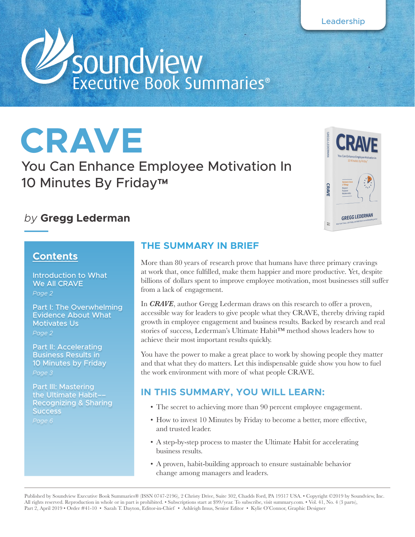

# **CRAVE**

You Can Enhance Employee Motivation In 10 Minutes By Friday™

## *by* **Gregg Lederman**



## **Contents**

Introduction to What We All CRAVE *Page 2*

Part I: The Overwhelming Evidence About What Motivates Us

*Page 2*

Part II: Accelerating Business Results in 10 Minutes by Friday

*Page 3*

Part III: Mastering the Ultimate Habit–– Recognizing & Sharing **Success** *Page 6*

## **THE SUMMARY IN BRIEF**

More than 80 years of research prove that humans have three primary cravings at work that, once fulfilled, make them happier and more productive. Yet, despite billions of dollars spent to improve employee motivation, most businesses still suffer from a lack of engagement.

In *CRAVE*, author Gregg Lederman draws on this research to offer a proven, accessible way for leaders to give people what they CRAVE, thereby driving rapid growth in employee engagement and business results. Backed by research and real stories of success, Lederman's Ultimate Habit™ method shows leaders how to achieve their most important results quickly.

You have the power to make a great place to work by showing people they matter and that what they do matters. Let this indispensable guide show you how to fuel the work environment with more of what people CRAVE.

## **IN THIS SUMMARY, YOU WILL LEARN:**

- The secret to achieving more than 90 percent employee engagement.
- How to invest 10 Minutes by Friday to become a better, more effective, and trusted leader.
- A step-by-step process to master the Ultimate Habit for accelerating business results.
- A proven, habit-building approach to ensure sustainable behavior change among managers and leaders.

Published by Soundview Executive Book Summaries® (ISSN 0747-2196), 2 Christy Drive, Suite 302, Chadds Ford, PA 19317 USA. • Copyright ©2019 by Soundview, Inc. All rights reserved. Reproduction in whole or in part is prohibited. • Subscriptions start at \$99/year. To subscribe, visit summary.com. • Vol. 41, No. 4 (3 parts), Part 2, April 2019 • Order #41-10 • Sarah T. Dayton, Editor-in-Chief • Ashleigh Imus, Senior Editor • Kylie O'Connor, Graphic Designer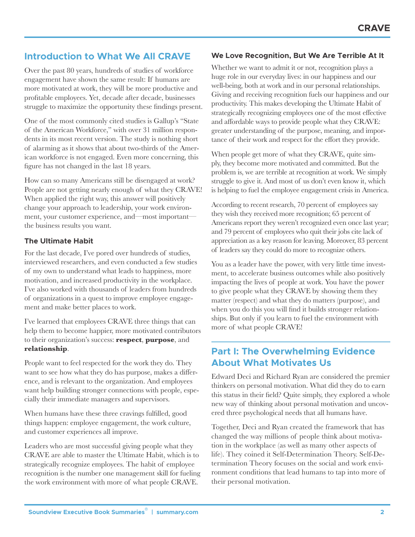## **Introduction to What We All CRAVE**

Over the past 80 years, hundreds of studies of workforce engagement have shown the same result: If humans are more motivated at work, they will be more productive and profitable employees. Yet, decade after decade, businesses struggle to maximize the opportunity these findings present.

One of the most commonly cited studies is Gallup's "State of the American Workforce," with over 31 million respondents in its most recent version. The study is nothing short of alarming as it shows that about two-thirds of the American workforce is not engaged. Even more concerning, this figure has not changed in the last 18 years.

How can so many Americans still be disengaged at work? People are not getting nearly enough of what they CRAVE! When applied the right way, this answer will positively change your approach to leadership, your work environment, your customer experience, and—most important the business results you want.

#### **The Ultimate Habit**

For the last decade, I've pored over hundreds of studies, interviewed researchers, and even conducted a few studies of my own to understand what leads to happiness, more motivation, and increased productivity in the workplace. I've also worked with thousands of leaders from hundreds of organizations in a quest to improve employee engagement and make better places to work.

I've learned that employees CRAVE three things that can help them to become happier, more motivated contributors to their organization's success: **respect**, **purpose**, and **relationship**.

People want to feel respected for the work they do. They want to see how what they do has purpose, makes a difference, and is relevant to the organization. And employees want help building stronger connections with people, especially their immediate managers and supervisors.

When humans have these three cravings fulfilled, good things happen: employee engagement, the work culture, and customer experiences all improve.

Leaders who are most successful giving people what they CRAVE are able to master the Ultimate Habit, which is to strategically recognize employees. The habit of employee recognition is the number one management skill for fueling the work environment with more of what people CRAVE.

#### **We Love Recognition, But We Are Terrible At It**

Whether we want to admit it or not, recognition plays a huge role in our everyday lives: in our happiness and our well-being, both at work and in our personal relationships. Giving and receiving recognition fuels our happiness and our productivity. This makes developing the Ultimate Habit of strategically recognizing employees one of the most effective and affordable ways to provide people what they CRAVE: greater understanding of the purpose, meaning, and importance of their work and respect for the effort they provide.

When people get more of what they CRAVE, quite simply, they become more motivated and committed. But the problem is, we are terrible at recognition at work. We simply struggle to give it. And most of us don't even know it, which is helping to fuel the employee engagement crisis in America.

According to recent research, 70 percent of employees say they wish they received more recognition; 65 percent of Americans report they weren't recognized even once last year; and 79 percent of employees who quit their jobs cite lack of appreciation as a key reason for leaving. Moreover, 83 percent of leaders say they could do more to recognize others.

You as a leader have the power, with very little time investment, to accelerate business outcomes while also positively impacting the lives of people at work. You have the power to give people what they CRAVE by showing them they matter (respect) and what they do matters (purpose), and when you do this you will find it builds stronger relationships. But only if you learn to fuel the environment with more of what people CRAVE!

## **Part I: The Overwhelming Evidence About What Motivates Us**

Edward Deci and Richard Ryan are considered the premier thinkers on personal motivation. What did they do to earn this status in their field? Quite simply, they explored a whole new way of thinking about personal motivation and uncovered three psychological needs that all humans have.

Together, Deci and Ryan created the framework that has changed the way millions of people think about motivation in the workplace (as well as many other aspects of life). They coined it Self-Determination Theory. Self-Determination Theory focuses on the social and work environment conditions that lead humans to tap into more of their personal motivation.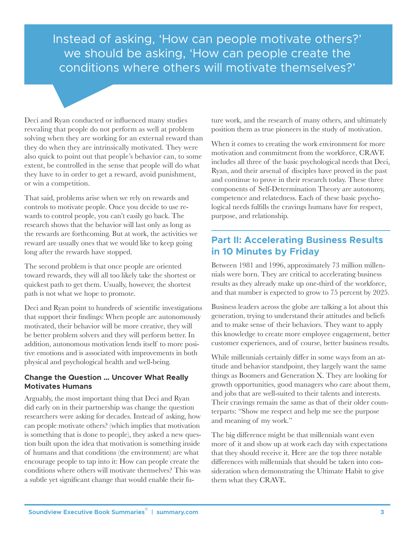## **CRAVE** Instead of asking, 'How can people motivate others?' we should be asking, 'How can people create the conditions where others will motivate themselves?'

Deci and Ryan conducted or influenced many studies revealing that people do not perform as well at problem solving when they are working for an external reward than they do when they are intrinsically motivated. They were also quick to point out that people's behavior can, to some extent, be controlled in the sense that people will do what they have to in order to get a reward, avoid punishment, or win a competition.

That said, problems arise when we rely on rewards and controls to motivate people. Once you decide to use rewards to control people, you can't easily go back. The research shows that the behavior will last only as long as the rewards are forthcoming. But at work, the activities we reward are usually ones that we would like to keep going long after the rewards have stopped.

The second problem is that once people are oriented toward rewards, they will all too likely take the shortest or quickest path to get them. Usually, however, the shortest path is not what we hope to promote.

Deci and Ryan point to hundreds of scientific investigations that support their findings: When people are autonomously motivated, their behavior will be more creative, they will be better problem solvers and they will perform better. In addition, autonomous motivation lends itself to more positive emotions and is associated with improvements in both physical and psychological health and well-being.

#### **Change the Question … Uncover What Really Motivates Humans**

Arguably, the most important thing that Deci and Ryan did early on in their partnership was change the question researchers were asking for decades. Instead of asking, how can people motivate others? (which implies that motivation is something that is done to people), they asked a new question built upon the idea that motivation is something inside of humans and that conditions (the environment) are what encourage people to tap into it: How can people create the conditions where others will motivate themselves? This was a subtle yet significant change that would enable their future work, and the research of many others, and ultimately position them as true pioneers in the study of motivation.

When it comes to creating the work environment for more motivation and commitment from the workforce, CRAVE includes all three of the basic psychological needs that Deci, Ryan, and their arsenal of disciples have proved in the past and continue to prove in their research today. These three components of Self-Determination Theory are autonomy, competence and relatedness. Each of these basic psychological needs fulfills the cravings humans have for respect, purpose, and relationship.

## **Part II: Accelerating Business Results in 10 Minutes by Friday**

Between 1981 and 1996, approximately 73 million millennials were born. They are critical to accelerating business results as they already make up one-third of the workforce, and that number is expected to grow to 75 percent by 2025.

Business leaders across the globe are talking a lot about this generation, trying to understand their attitudes and beliefs and to make sense of their behaviors. They want to apply this knowledge to create more employee engagement, better customer experiences, and of course, better business results.

While millennials certainly differ in some ways from an attitude and behavior standpoint, they largely want the same things as Boomers and Generation X. They are looking for growth opportunities, good managers who care about them, and jobs that are well-suited to their talents and interests. Their cravings remain the same as that of their older counterparts: "Show me respect and help me see the purpose and meaning of my work."

The big difference might be that millennials want even more of it and show up at work each day with expectations that they should receive it. Here are the top three notable differences with millennials that should be taken into consideration when demonstrating the Ultimate Habit to give them what they CRAVE.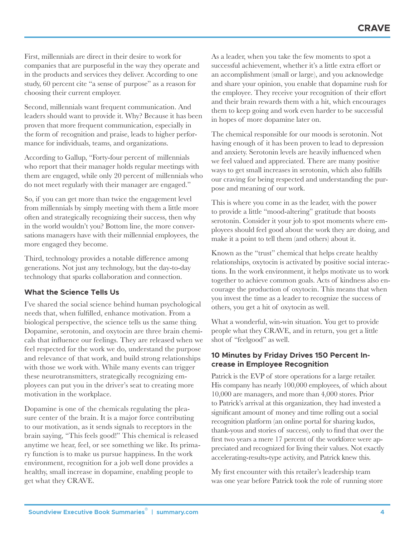First, millennials are direct in their desire to work for companies that are purposeful in the way they operate and in the products and services they deliver. According to one study, 60 percent cite "a sense of purpose" as a reason for choosing their current employer.

Second, millennials want frequent communication. And leaders should want to provide it. Why? Because it has been proven that more frequent communication, especially in the form of recognition and praise, leads to higher performance for individuals, teams, and organizations.

According to Gallup, "Forty-four percent of millennials who report that their manager holds regular meetings with them are engaged, while only 20 percent of millennials who do not meet regularly with their manager are engaged."

So, if you can get more than twice the engagement level from millennials by simply meeting with them a little more often and strategically recognizing their success, then why in the world wouldn't you? Bottom line, the more conversations managers have with their millennial employees, the more engaged they become.

Third, technology provides a notable difference among generations. Not just any technology, but the day-to-day technology that sparks collaboration and connection.

#### **What the Science Tells Us**

I've shared the social science behind human psychological needs that, when fulfilled, enhance motivation. From a biological perspective, the science tells us the same thing. Dopamine, serotonin, and oxytocin are three brain chemicals that influence our feelings. They are released when we feel respected for the work we do, understand the purpose and relevance of that work, and build strong relationships with those we work with. While many events can trigger these neurotransmitters, strategically recognizing employees can put you in the driver's seat to creating more motivation in the workplace.

Dopamine is one of the chemicals regulating the pleasure center of the brain. It is a major force contributing to our motivation, as it sends signals to receptors in the brain saying, "This feels good!" This chemical is released anytime we hear, feel, or see something we like. Its primary function is to make us pursue happiness. In the work environment, recognition for a job well done provides a healthy, small increase in dopamine, enabling people to get what they CRAVE.

As a leader, when you take the few moments to spot a successful achievement, whether it's a little extra effort or an accomplishment (small or large), and you acknowledge and share your opinion, you enable that dopamine rush for the employee. They receive your recognition of their effort and their brain rewards them with a hit, which encourages them to keep going and work even harder to be successful in hopes of more dopamine later on.

The chemical responsible for our moods is serotonin. Not having enough of it has been proven to lead to depression and anxiety. Serotonin levels are heavily influenced when we feel valued and appreciated. There are many positive ways to get small increases in serotonin, which also fulfills our craving for being respected and understanding the purpose and meaning of our work.

This is where you come in as the leader, with the power to provide a little "mood-altering" gratitude that boosts serotonin. Consider it your job to spot moments where employees should feel good about the work they are doing, and make it a point to tell them (and others) about it.

Known as the "trust" chemical that helps create healthy relationships, oxytocin is activated by positive social interactions. In the work environment, it helps motivate us to work together to achieve common goals. Acts of kindness also encourage the production of oxytocin. This means that when you invest the time as a leader to recognize the success of others, you get a hit of oxytocin as well.

What a wonderful, win-win situation. You get to provide people what they CRAVE, and in return, you get a little shot of "feelgood" as well.

#### **10 Minutes by Friday Drives 150 Percent Increase in Employee Recognition**

Patrick is the EVP of store operations for a large retailer. His company has nearly 100,000 employees, of which about 10,000 are managers, and more than 4,000 stores. Prior to Patrick's arrival at this organization, they had invested a significant amount of money and time rolling out a social recognition platform (an online portal for sharing kudos, thank-yous and stories of success), only to find that over the first two years a mere 17 percent of the workforce were appreciated and recognized for living their values. Not exactly accelerating-results-type activity, and Patrick knew this.

My first encounter with this retailer's leadership team was one year before Patrick took the role of running store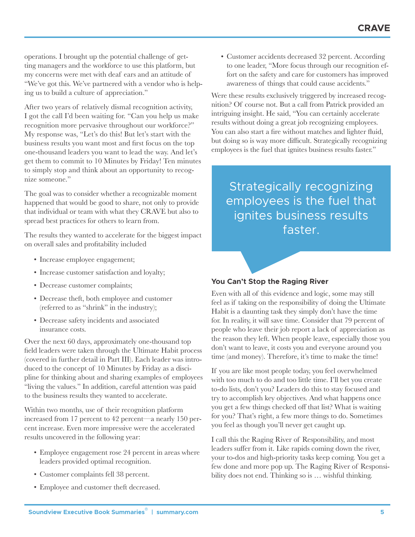operations. I brought up the potential challenge of getting managers and the workforce to use this platform, but my concerns were met with deaf ears and an attitude of "We've got this. We've partnered with a vendor who is helping us to build a culture of appreciation."

After two years of relatively dismal recognition activity, I got the call I'd been waiting for. "Can you help us make recognition more pervasive throughout our workforce?" My response was, "Let's do this! But let's start with the business results you want most and first focus on the top one-thousand leaders you want to lead the way. And let's get them to commit to 10 Minutes by Friday! Ten minutes to simply stop and think about an opportunity to recognize someone."

The goal was to consider whether a recognizable moment happened that would be good to share, not only to provide that individual or team with what they CRAVE but also to spread best practices for others to learn from.

The results they wanted to accelerate for the biggest impact on overall sales and profitability included

- Increase employee engagement;
- Increase customer satisfaction and loyalty;
- Decrease customer complaints;
- Decrease theft, both employee and customer (referred to as "shrink" in the industry);
- Decrease safety incidents and associated insurance costs.

Over the next 60 days, approximately one-thousand top field leaders were taken through the Ultimate Habit process (covered in further detail in Part III). Each leader was introduced to the concept of 10 Minutes by Friday as a discipline for thinking about and sharing examples of employees "living the values." In addition, careful attention was paid to the business results they wanted to accelerate.

Within two months, use of their recognition platform increased from 17 percent to 42 percent—a nearly 150 percent increase. Even more impressive were the accelerated results uncovered in the following year:

- Employee engagement rose 24 percent in areas where leaders provided optimal recognition.
- Customer complaints fell 38 percent.
- Employee and customer theft decreased.

• Customer accidents decreased 32 percent. According to one leader, "More focus through our recognition effort on the safety and care for customers has improved awareness of things that could cause accidents."

Were these results exclusively triggered by increased recognition? Of course not. But a call from Patrick provided an intriguing insight. He said, "You can certainly accelerate results without doing a great job recognizing employees. You can also start a fire without matches and lighter fluid, but doing so is way more difficult. Strategically recognizing employees is the fuel that ignites business results faster."

Strategically recognizing employees is the fuel that ignites business results faster.

#### **You Can't Stop the Raging River**

Even with all of this evidence and logic, some may still feel as if taking on the responsibility of doing the Ultimate Habit is a daunting task they simply don't have the time for. In reality, it will save time. Consider that 79 percent of people who leave their job report a lack of appreciation as the reason they left. When people leave, especially those you don't want to leave, it costs you and everyone around you time (and money). Therefore, it's time to make the time!

If you are like most people today, you feel overwhelmed with too much to do and too little time. I'll bet you create to-do lists, don't you? Leaders do this to stay focused and try to accomplish key objectives. And what happens once you get a few things checked off that list? What is waiting for you? That's right, a few more things to do. Sometimes you feel as though you'll never get caught up.

I call this the Raging River of Responsibility, and most leaders suffer from it. Like rapids coming down the river, your to-dos and high-priority tasks keep coming. You get a few done and more pop up. The Raging River of Responsibility does not end. Thinking so is  $\ldots$  wishful thinking.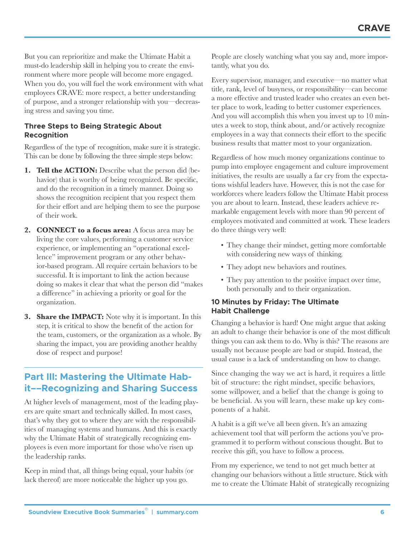But you can reprioritize and make the Ultimate Habit a must-do leadership skill in helping you to create the environment where more people will become more engaged. When you do, you will fuel the work environment with what employees CRAVE: more respect, a better understanding of purpose, and a stronger relationship with you—decreasing stress and saving you time.

#### **Three Steps to Being Strategic About Recognition**

Regardless of the type of recognition, make sure it is strategic. This can be done by following the three simple steps below:

- **1. Tell the ACTION:** Describe what the person did (behavior) that is worthy of being recognized. Be specific, and do the recognition in a timely manner. Doing so shows the recognition recipient that you respect them for their effort and are helping them to see the purpose of their work.
- **2. CONNECT to a focus area:** A focus area may be living the core values, performing a customer service experience, or implementing an "operational excellence" improvement program or any other behavior-based program. All require certain behaviors to be successful. It is important to link the action because doing so makes it clear that what the person did "makes a difference" in achieving a priority or goal for the organization.
- **3. Share the IMPACT:** Note why it is important. In this step, it is critical to show the benefit of the action for the team, customers, or the organization as a whole. By sharing the impact, you are providing another healthy dose of respect and purpose!

## **Part III: Mastering the Ultimate Habit––Recognizing and Sharing Success**

At higher levels of management, most of the leading players are quite smart and technically skilled. In most cases, that's why they got to where they are with the responsibilities of managing systems and humans. And this is exactly why the Ultimate Habit of strategically recognizing employees is even more important for those who've risen up the leadership ranks.

Keep in mind that, all things being equal, your habits (or lack thereof) are more noticeable the higher up you go.

People are closely watching what you say and, more importantly, what you do.

Every supervisor, manager, and executive—no matter what title, rank, level of busyness, or responsibility—can become a more effective and trusted leader who creates an even better place to work, leading to better customer experiences. And you will accomplish this when you invest up to 10 minutes a week to stop, think about, and/or actively recognize employees in a way that connects their effort to the specific business results that matter most to your organization.

Regardless of how much money organizations continue to pump into employee engagement and culture improvement initiatives, the results are usually a far cry from the expectations wishful leaders have. However, this is not the case for workforces where leaders follow the Ultimate Habit process you are about to learn. Instead, these leaders achieve remarkable engagement levels with more than 90 percent of employees motivated and committed at work. These leaders do three things very well:

- They change their mindset, getting more comfortable with considering new ways of thinking.
- They adopt new behaviors and routines.
- They pay attention to the positive impact over time, both personally and to their organization.

#### **10 Minutes by Friday: The Ultimate Habit Challenge**

Changing a behavior is hard! One might argue that asking an adult to change their behavior is one of the most difficult things you can ask them to do. Why is this? The reasons are usually not because people are bad or stupid. Instead, the usual cause is a lack of understanding on how to change.

Since changing the way we act is hard, it requires a little bit of structure: the right mindset, specific behaviors, some willpower, and a belief that the change is going to be beneficial. As you will learn, these make up key components of a habit.

A habit is a gift we've all been given. It's an amazing achievement tool that will perform the actions you've programmed it to perform without conscious thought. But to receive this gift, you have to follow a process.

From my experience, we tend to not get much better at changing our behaviors without a little structure. Stick with me to create the Ultimate Habit of strategically recognizing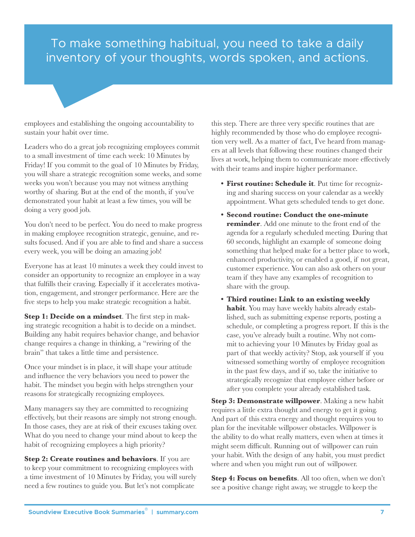## To make something habitual, you need to take a daily inventory of your thoughts, words spoken, and actions.

employees and establishing the ongoing accountability to sustain your habit over time.

Leaders who do a great job recognizing employees commit to a small investment of time each week: 10 Minutes by Friday! If you commit to the goal of 10 Minutes by Friday, you will share a strategic recognition some weeks, and some weeks you won't because you may not witness anything worthy of sharing. But at the end of the month, if you've demonstrated your habit at least a few times, you will be doing a very good job.

You don't need to be perfect. You do need to make progress in making employee recognition strategic, genuine, and results focused. And if you are able to find and share a success every week, you will be doing an amazing job!

Everyone has at least 10 minutes a week they could invest to consider an opportunity to recognize an employee in a way that fulfills their craving. Especially if it accelerates motivation, engagement, and stronger performance. Here are the five steps to help you make strategic recognition a habit.

**Step 1: Decide on a mindset**. The first step in making strategic recognition a habit is to decide on a mindset. Building any habit requires behavior change, and behavior change requires a change in thinking, a "rewiring of the brain" that takes a little time and persistence.

Once your mindset is in place, it will shape your attitude and influence the very behaviors you need to power the habit. The mindset you begin with helps strengthen your reasons for strategically recognizing employees.

Many managers say they are committed to recognizing effectively, but their reasons are simply not strong enough. In those cases, they are at risk of their excuses taking over. What do you need to change your mind about to keep the habit of recognizing employees a high priority?

**Step 2: Create routines and behaviors**. If you are to keep your commitment to recognizing employees with a time investment of 10 Minutes by Friday, you will surely need a few routines to guide you. But let's not complicate

this step. There are three very specific routines that are highly recommended by those who do employee recognition very well. As a matter of fact, I've heard from managers at all levels that following these routines changed their lives at work, helping them to communicate more effectively with their teams and inspire higher performance.

**CRAVE**

- **• First routine: Schedule it**. Put time for recognizing and sharing success on your calendar as a weekly appointment. What gets scheduled tends to get done.
- **• Second routine: Conduct the one-minute reminder**. Add one minute to the front end of the agenda for a regularly scheduled meeting. During that 60 seconds, highlight an example of someone doing something that helped make for a better place to work, enhanced productivity, or enabled a good, if not great, customer experience. You can also ask others on your team if they have any examples of recognition to share with the group.
- **• Third routine: Link to an existing weekly habit**. You may have weekly habits already established, such as submitting expense reports, posting a schedule, or completing a progress report. If this is the case, you've already built a routine. Why not commit to achieving your 10 Minutes by Friday goal as part of that weekly activity? Stop, ask yourself if you witnessed something worthy of employee recognition in the past few days, and if so, take the initiative to strategically recognize that employee either before or after you complete your already established task.

**Step 3: Demonstrate willpower**. Making a new habit requires a little extra thought and energy to get it going. And part of this extra energy and thought requires you to plan for the inevitable willpower obstacles. Willpower is the ability to do what really matters, even when at times it might seem difficult. Running out of willpower can ruin your habit. With the design of any habit, you must predict where and when you might run out of willpower.

Step 4: Focus on benefits. All too often, when we don't see a positive change right away, we struggle to keep the